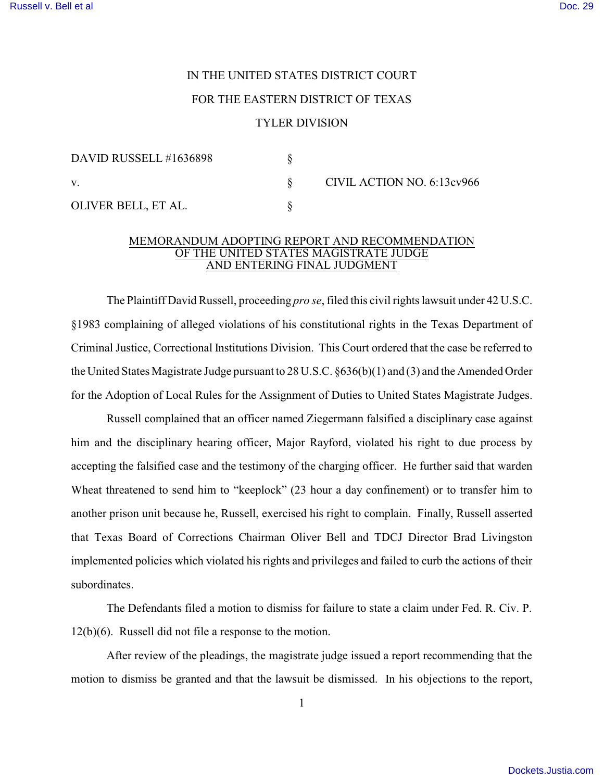## IN THE UNITED STATES DISTRICT COURT FOR THE EASTERN DISTRICT OF TEXAS

## TYLER DIVISION

| DAVID RUSSELL #1636898 |                            |
|------------------------|----------------------------|
|                        | CIVIL ACTION NO. 6:13cv966 |
| OLIVER BELL, ET AL.    |                            |

## MEMORANDUM ADOPTING REPORT AND RECOMMENDATION OF THE UNITED STATES MAGISTRATE JUDGE AND ENTERING FINAL JUDGMENT

The Plaintiff David Russell, proceeding *pro se*, filed this civil rights lawsuit under 42 U.S.C. §1983 complaining of alleged violations of his constitutional rights in the Texas Department of Criminal Justice, Correctional Institutions Division. This Court ordered that the case be referred to the United States Magistrate Judge pursuant to 28 U.S.C. §636(b)(1) and (3) and the Amended Order for the Adoption of Local Rules for the Assignment of Duties to United States Magistrate Judges.

 Russell complained that an officer named Ziegermann falsified a disciplinary case against him and the disciplinary hearing officer, Major Rayford, violated his right to due process by accepting the falsified case and the testimony of the charging officer. He further said that warden Wheat threatened to send him to "keeplock" (23 hour a day confinement) or to transfer him to another prison unit because he, Russell, exercised his right to complain. Finally, Russell asserted that Texas Board of Corrections Chairman Oliver Bell and TDCJ Director Brad Livingston implemented policies which violated his rights and privileges and failed to curb the actions of their subordinates.

The Defendants filed a motion to dismiss for failure to state a claim under Fed. R. Civ. P. 12(b)(6). Russell did not file a response to the motion.

After review of the pleadings, the magistrate judge issued a report recommending that the motion to dismiss be granted and that the lawsuit be dismissed. In his objections to the report,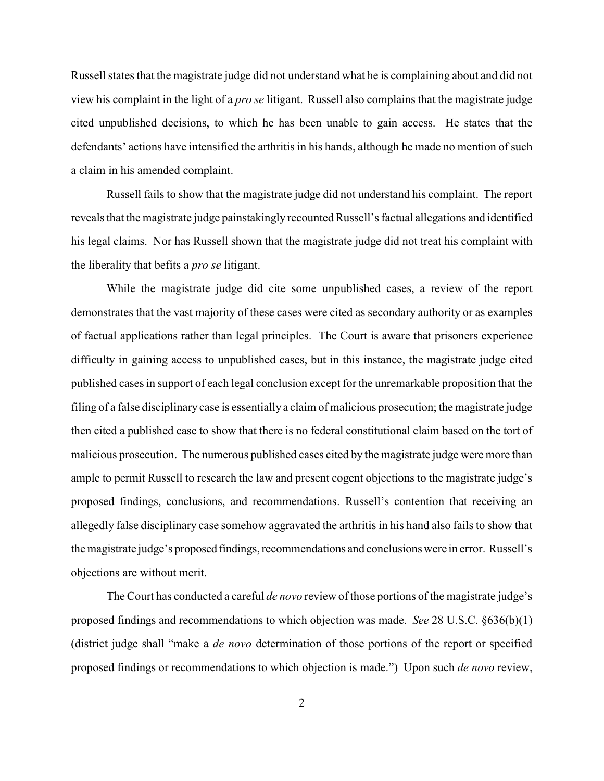Russell states that the magistrate judge did not understand what he is complaining about and did not view his complaint in the light of a *pro se* litigant. Russell also complains that the magistrate judge cited unpublished decisions, to which he has been unable to gain access. He states that the defendants' actions have intensified the arthritis in his hands, although he made no mention of such a claim in his amended complaint.

Russell fails to show that the magistrate judge did not understand his complaint. The report reveals that the magistrate judge painstakingly recounted Russell's factual allegations and identified his legal claims. Nor has Russell shown that the magistrate judge did not treat his complaint with the liberality that befits a *pro se* litigant.

While the magistrate judge did cite some unpublished cases, a review of the report demonstrates that the vast majority of these cases were cited as secondary authority or as examples of factual applications rather than legal principles. The Court is aware that prisoners experience difficulty in gaining access to unpublished cases, but in this instance, the magistrate judge cited published cases in support of each legal conclusion except for the unremarkable proposition that the filing of a false disciplinary case is essentially a claim of malicious prosecution; the magistrate judge then cited a published case to show that there is no federal constitutional claim based on the tort of malicious prosecution. The numerous published cases cited by the magistrate judge were more than ample to permit Russell to research the law and present cogent objections to the magistrate judge's proposed findings, conclusions, and recommendations. Russell's contention that receiving an allegedly false disciplinary case somehow aggravated the arthritis in his hand also fails to show that the magistrate judge's proposed findings, recommendations and conclusions were in error. Russell's objections are without merit.

The Court has conducted a careful *de novo* review of those portions of the magistrate judge's proposed findings and recommendations to which objection was made. *See* 28 U.S.C. §636(b)(1) (district judge shall "make a *de novo* determination of those portions of the report or specified proposed findings or recommendations to which objection is made.") Upon such *de novo* review,